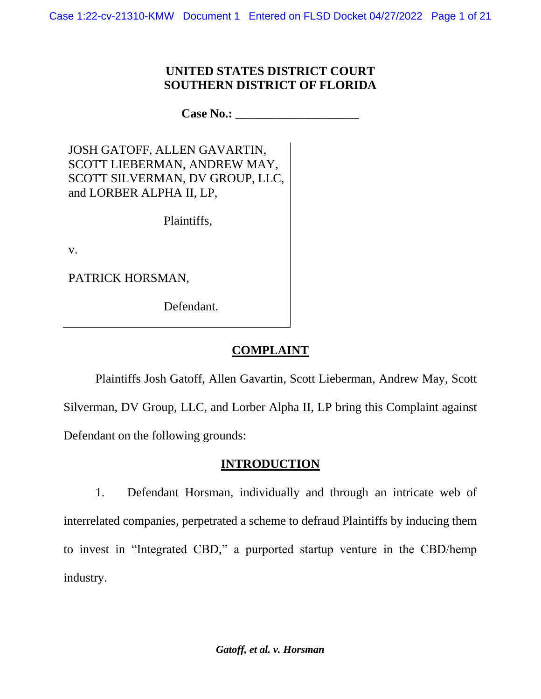### **UNITED STATES DISTRICT COURT SOUTHERN DISTRICT OF FLORIDA**

**Case No.:** \_\_\_\_\_\_\_\_\_\_\_\_\_\_\_\_\_\_\_\_

JOSH GATOFF, ALLEN GAVARTIN, SCOTT LIEBERMAN, ANDREW MAY, SCOTT SILVERMAN, DV GROUP, LLC, and LORBER ALPHA II, LP,

Plaintiffs,

v.

PATRICK HORSMAN,

Defendant.

# **COMPLAINT**

Plaintiffs Josh Gatoff, Allen Gavartin, Scott Lieberman, Andrew May, Scott Silverman, DV Group, LLC, and Lorber Alpha II, LP bring this Complaint against Defendant on the following grounds:

## **INTRODUCTION**

1. Defendant Horsman, individually and through an intricate web of interrelated companies, perpetrated a scheme to defraud Plaintiffs by inducing them to invest in "Integrated CBD," a purported startup venture in the CBD/hemp industry.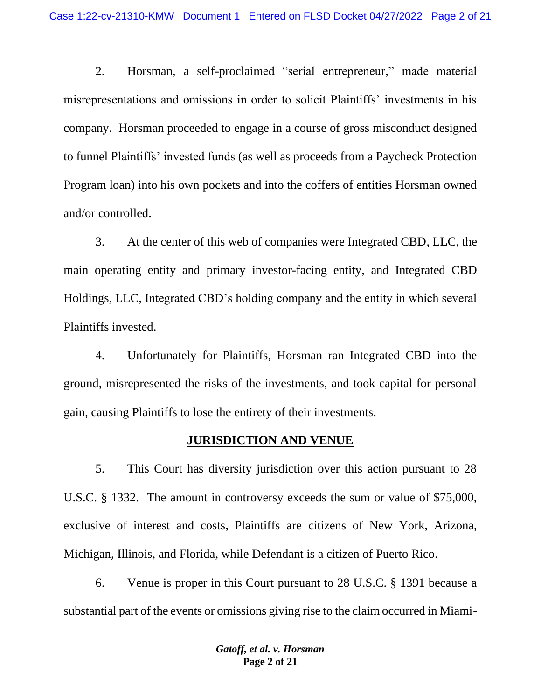2. Horsman, a self-proclaimed "serial entrepreneur," made material misrepresentations and omissions in order to solicit Plaintiffs' investments in his company. Horsman proceeded to engage in a course of gross misconduct designed to funnel Plaintiffs' invested funds (as well as proceeds from a Paycheck Protection Program loan) into his own pockets and into the coffers of entities Horsman owned and/or controlled.

3. At the center of this web of companies were Integrated CBD, LLC, the main operating entity and primary investor-facing entity, and Integrated CBD Holdings, LLC, Integrated CBD's holding company and the entity in which several Plaintiffs invested.

4. Unfortunately for Plaintiffs, Horsman ran Integrated CBD into the ground, misrepresented the risks of the investments, and took capital for personal gain, causing Plaintiffs to lose the entirety of their investments.

#### **JURISDICTION AND VENUE**

5. This Court has diversity jurisdiction over this action pursuant to 28 U.S.C. § 1332. The amount in controversy exceeds the sum or value of \$75,000, exclusive of interest and costs, Plaintiffs are citizens of New York, Arizona, Michigan, Illinois, and Florida, while Defendant is a citizen of Puerto Rico.

6. Venue is proper in this Court pursuant to 28 U.S.C. § 1391 because a substantial part of the events or omissions giving rise to the claim occurred in Miami-

> *Gatoff, et al. v. Horsman* **Page 2 of 21**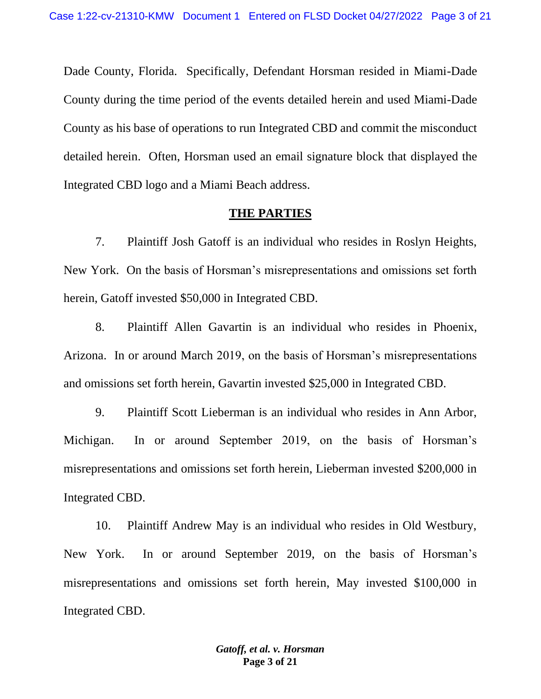Dade County, Florida. Specifically, Defendant Horsman resided in Miami-Dade County during the time period of the events detailed herein and used Miami-Dade County as his base of operations to run Integrated CBD and commit the misconduct detailed herein. Often, Horsman used an email signature block that displayed the Integrated CBD logo and a Miami Beach address.

#### **THE PARTIES**

7. Plaintiff Josh Gatoff is an individual who resides in Roslyn Heights, New York. On the basis of Horsman's misrepresentations and omissions set forth herein, Gatoff invested \$50,000 in Integrated CBD.

8. Plaintiff Allen Gavartin is an individual who resides in Phoenix, Arizona. In or around March 2019, on the basis of Horsman's misrepresentations and omissions set forth herein, Gavartin invested \$25,000 in Integrated CBD.

9. Plaintiff Scott Lieberman is an individual who resides in Ann Arbor, Michigan. In or around September 2019, on the basis of Horsman's misrepresentations and omissions set forth herein, Lieberman invested \$200,000 in Integrated CBD.

10. Plaintiff Andrew May is an individual who resides in Old Westbury, New York. In or around September 2019, on the basis of Horsman's misrepresentations and omissions set forth herein, May invested \$100,000 in Integrated CBD.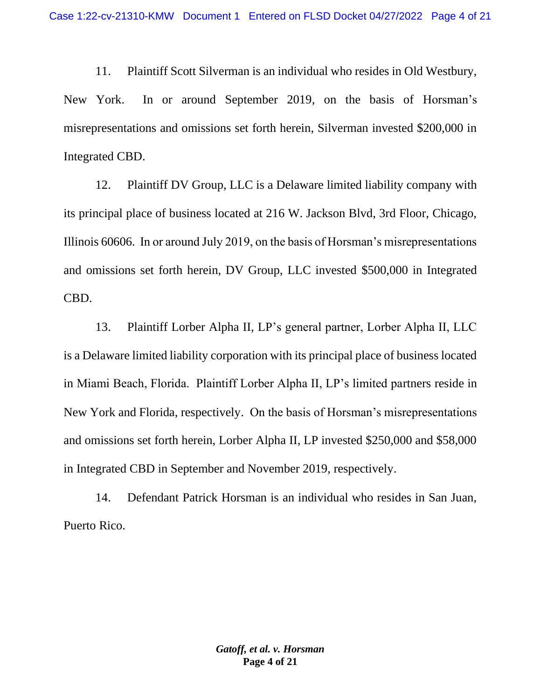11. Plaintiff Scott Silverman is an individual who resides in Old Westbury, New York. In or around September 2019, on the basis of Horsman's misrepresentations and omissions set forth herein, Silverman invested \$200,000 in Integrated CBD.

12. Plaintiff DV Group, LLC is a Delaware limited liability company with its principal place of business located at 216 W. Jackson Blvd, 3rd Floor, Chicago, Illinois 60606. In or around July 2019, on the basis of Horsman's misrepresentations and omissions set forth herein, DV Group, LLC invested \$500,000 in Integrated CBD.

13. Plaintiff Lorber Alpha II, LP's general partner, Lorber Alpha II, LLC is a Delaware limited liability corporation with its principal place of business located in Miami Beach, Florida. Plaintiff Lorber Alpha II, LP's limited partners reside in New York and Florida, respectively. On the basis of Horsman's misrepresentations and omissions set forth herein, Lorber Alpha II, LP invested \$250,000 and \$58,000 in Integrated CBD in September and November 2019, respectively.

14. Defendant Patrick Horsman is an individual who resides in San Juan, Puerto Rico.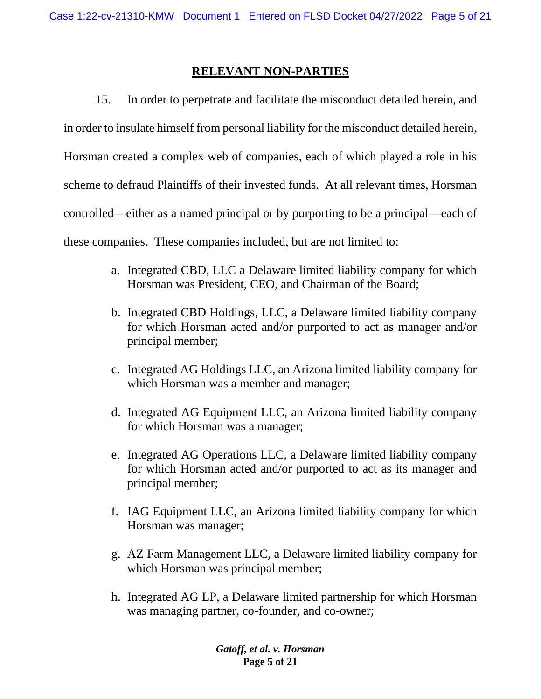#### **RELEVANT NON-PARTIES**

15. In order to perpetrate and facilitate the misconduct detailed herein, and in order to insulate himself from personal liability for the misconduct detailed herein, Horsman created a complex web of companies, each of which played a role in his scheme to defraud Plaintiffs of their invested funds. At all relevant times, Horsman controlled—either as a named principal or by purporting to be a principal—each of these companies. These companies included, but are not limited to:

- a. Integrated CBD, LLC a Delaware limited liability company for which Horsman was President, CEO, and Chairman of the Board;
- b. Integrated CBD Holdings, LLC, a Delaware limited liability company for which Horsman acted and/or purported to act as manager and/or principal member;
- c. Integrated AG Holdings LLC, an Arizona limited liability company for which Horsman was a member and manager;
- d. Integrated AG Equipment LLC, an Arizona limited liability company for which Horsman was a manager;
- e. Integrated AG Operations LLC, a Delaware limited liability company for which Horsman acted and/or purported to act as its manager and principal member;
- f. IAG Equipment LLC, an Arizona limited liability company for which Horsman was manager;
- g. AZ Farm Management LLC, a Delaware limited liability company for which Horsman was principal member;
- h. Integrated AG LP, a Delaware limited partnership for which Horsman was managing partner, co-founder, and co-owner;

*Gatoff, et al. v. Horsman* **Page 5 of 21**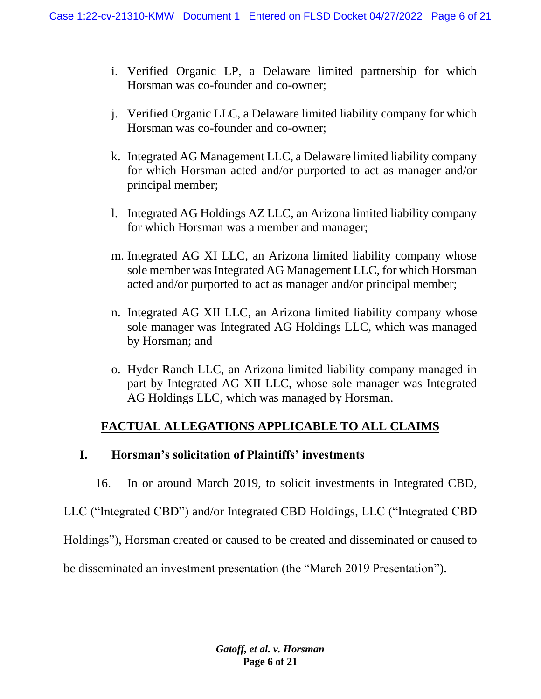- i. Verified Organic LP, a Delaware limited partnership for which Horsman was co-founder and co-owner;
- j. Verified Organic LLC, a Delaware limited liability company for which Horsman was co-founder and co-owner;
- k. Integrated AG Management LLC, a Delaware limited liability company for which Horsman acted and/or purported to act as manager and/or principal member;
- l. Integrated AG Holdings AZ LLC, an Arizona limited liability company for which Horsman was a member and manager;
- m. Integrated AG XI LLC, an Arizona limited liability company whose sole member was Integrated AG Management LLC, for which Horsman acted and/or purported to act as manager and/or principal member;
- n. Integrated AG XII LLC, an Arizona limited liability company whose sole manager was Integrated AG Holdings LLC, which was managed by Horsman; and
- o. Hyder Ranch LLC, an Arizona limited liability company managed in part by Integrated AG XII LLC, whose sole manager was Integrated AG Holdings LLC, which was managed by Horsman.

## **FACTUAL ALLEGATIONS APPLICABLE TO ALL CLAIMS**

### **I. Horsman's solicitation of Plaintiffs' investments**

16. In or around March 2019, to solicit investments in Integrated CBD,

LLC ("Integrated CBD") and/or Integrated CBD Holdings, LLC ("Integrated CBD

Holdings"), Horsman created or caused to be created and disseminated or caused to

be disseminated an investment presentation (the "March 2019 Presentation").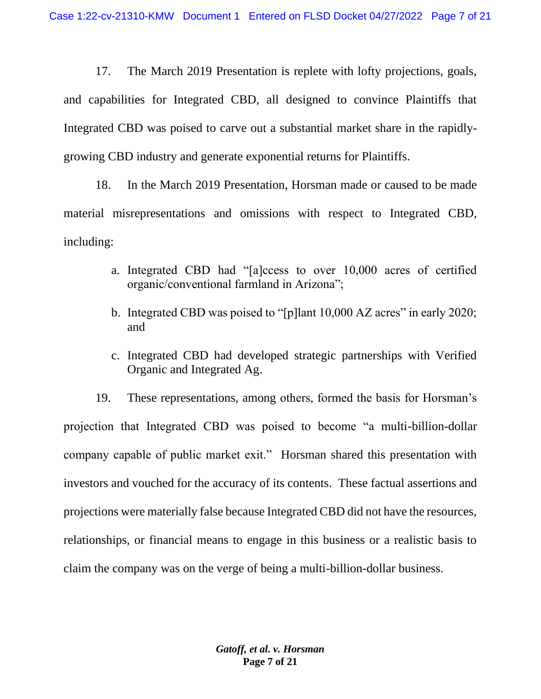17. The March 2019 Presentation is replete with lofty projections, goals, and capabilities for Integrated CBD, all designed to convince Plaintiffs that Integrated CBD was poised to carve out a substantial market share in the rapidlygrowing CBD industry and generate exponential returns for Plaintiffs.

18. In the March 2019 Presentation, Horsman made or caused to be made material misrepresentations and omissions with respect to Integrated CBD, including:

- a. Integrated CBD had "[a]ccess to over 10,000 acres of certified organic/conventional farmland in Arizona";
- b. Integrated CBD was poised to "[p]lant 10,000 AZ acres" in early 2020; and
- c. Integrated CBD had developed strategic partnerships with Verified Organic and Integrated Ag.

19. These representations, among others, formed the basis for Horsman's projection that Integrated CBD was poised to become "a multi-billion-dollar company capable of public market exit." Horsman shared this presentation with investors and vouched for the accuracy of its contents. These factual assertions and projections were materially false because Integrated CBD did not have the resources, relationships, or financial means to engage in this business or a realistic basis to claim the company was on the verge of being a multi-billion-dollar business.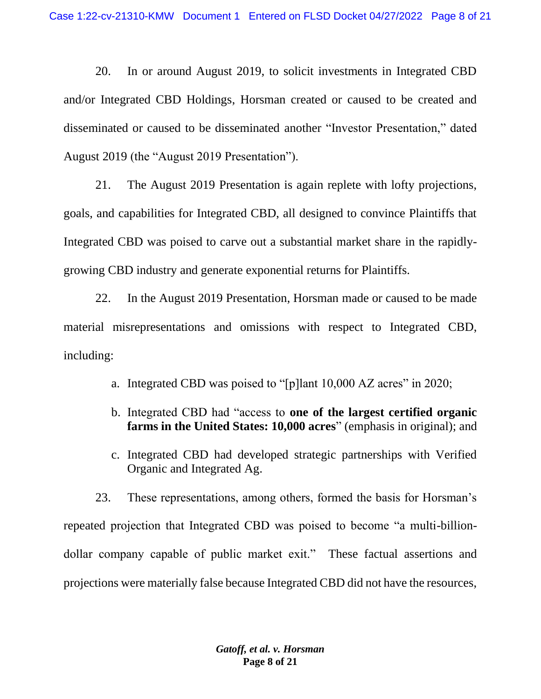20. In or around August 2019, to solicit investments in Integrated CBD and/or Integrated CBD Holdings, Horsman created or caused to be created and disseminated or caused to be disseminated another "Investor Presentation," dated August 2019 (the "August 2019 Presentation").

21. The August 2019 Presentation is again replete with lofty projections, goals, and capabilities for Integrated CBD, all designed to convince Plaintiffs that Integrated CBD was poised to carve out a substantial market share in the rapidlygrowing CBD industry and generate exponential returns for Plaintiffs.

22. In the August 2019 Presentation, Horsman made or caused to be made material misrepresentations and omissions with respect to Integrated CBD, including:

- a. Integrated CBD was poised to "[p]lant 10,000 AZ acres" in 2020;
- b. Integrated CBD had "access to **one of the largest certified organic farms in the United States: 10,000 acres**" (emphasis in original); and
- c. Integrated CBD had developed strategic partnerships with Verified Organic and Integrated Ag.

23. These representations, among others, formed the basis for Horsman's repeated projection that Integrated CBD was poised to become "a multi-billiondollar company capable of public market exit." These factual assertions and projections were materially false because Integrated CBD did not have the resources,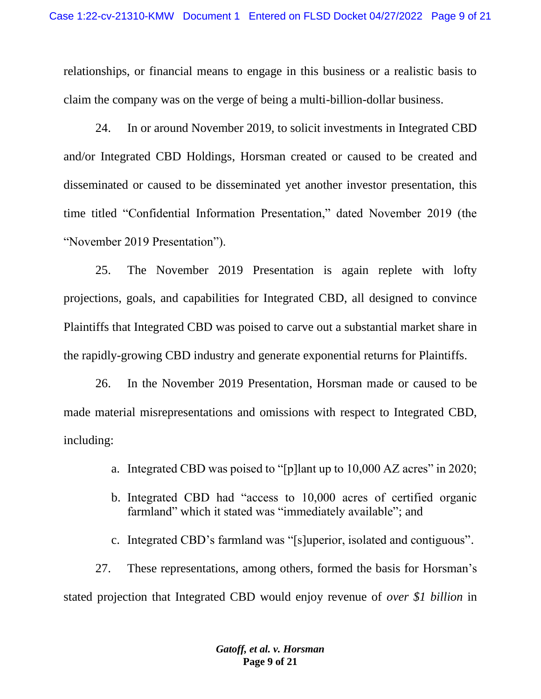relationships, or financial means to engage in this business or a realistic basis to claim the company was on the verge of being a multi-billion-dollar business.

24. In or around November 2019, to solicit investments in Integrated CBD and/or Integrated CBD Holdings, Horsman created or caused to be created and disseminated or caused to be disseminated yet another investor presentation, this time titled "Confidential Information Presentation," dated November 2019 (the "November 2019 Presentation").

25. The November 2019 Presentation is again replete with lofty projections, goals, and capabilities for Integrated CBD, all designed to convince Plaintiffs that Integrated CBD was poised to carve out a substantial market share in the rapidly-growing CBD industry and generate exponential returns for Plaintiffs.

26. In the November 2019 Presentation, Horsman made or caused to be made material misrepresentations and omissions with respect to Integrated CBD, including:

- a. Integrated CBD was poised to "[p]lant up to 10,000 AZ acres" in 2020;
- b. Integrated CBD had "access to 10,000 acres of certified organic farmland" which it stated was "immediately available"; and
- c. Integrated CBD's farmland was "[s]uperior, isolated and contiguous".

27. These representations, among others, formed the basis for Horsman's stated projection that Integrated CBD would enjoy revenue of *over \$1 billion* in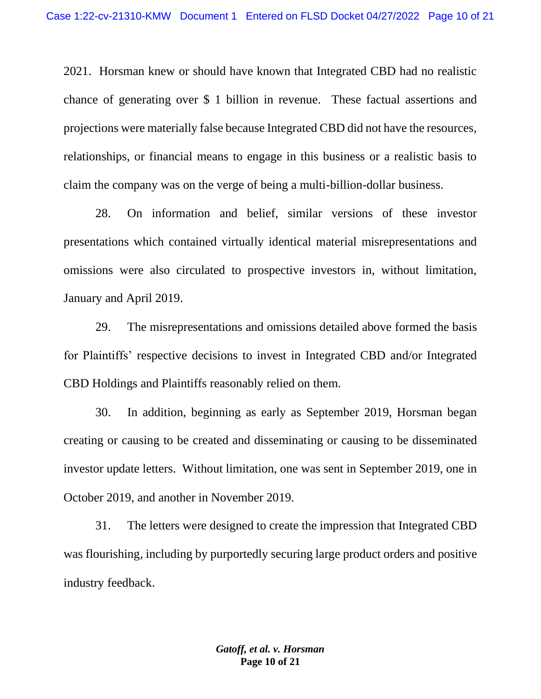2021. Horsman knew or should have known that Integrated CBD had no realistic chance of generating over \$ 1 billion in revenue. These factual assertions and projections were materially false because Integrated CBD did not have the resources, relationships, or financial means to engage in this business or a realistic basis to claim the company was on the verge of being a multi-billion-dollar business.

28. On information and belief, similar versions of these investor presentations which contained virtually identical material misrepresentations and omissions were also circulated to prospective investors in, without limitation, January and April 2019.

29. The misrepresentations and omissions detailed above formed the basis for Plaintiffs' respective decisions to invest in Integrated CBD and/or Integrated CBD Holdings and Plaintiffs reasonably relied on them.

30. In addition, beginning as early as September 2019, Horsman began creating or causing to be created and disseminating or causing to be disseminated investor update letters. Without limitation, one was sent in September 2019, one in October 2019, and another in November 2019.

31. The letters were designed to create the impression that Integrated CBD was flourishing, including by purportedly securing large product orders and positive industry feedback.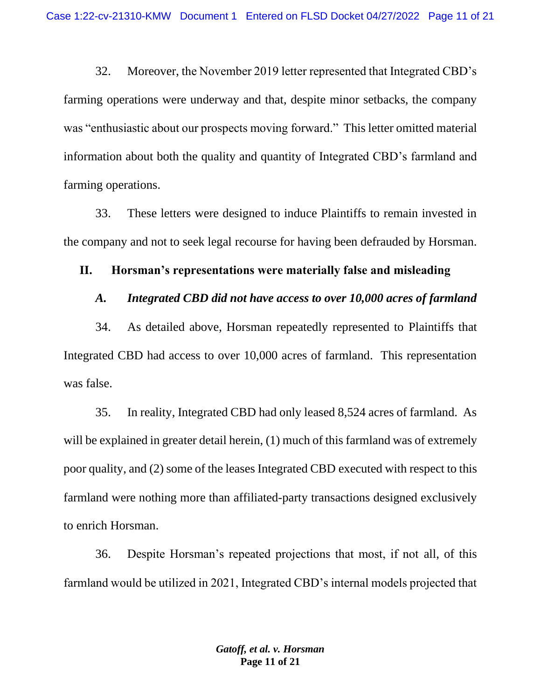32. Moreover, the November 2019 letter represented that Integrated CBD's farming operations were underway and that, despite minor setbacks, the company was "enthusiastic about our prospects moving forward." This letter omitted material information about both the quality and quantity of Integrated CBD's farmland and farming operations.

33. These letters were designed to induce Plaintiffs to remain invested in the company and not to seek legal recourse for having been defrauded by Horsman.

### **II. Horsman's representations were materially false and misleading**

#### *A. Integrated CBD did not have access to over 10,000 acres of farmland*

34. As detailed above, Horsman repeatedly represented to Plaintiffs that Integrated CBD had access to over 10,000 acres of farmland. This representation was false.

35. In reality, Integrated CBD had only leased 8,524 acres of farmland. As will be explained in greater detail herein, (1) much of this farmland was of extremely poor quality, and (2) some of the leases Integrated CBD executed with respect to this farmland were nothing more than affiliated-party transactions designed exclusively to enrich Horsman.

36. Despite Horsman's repeated projections that most, if not all, of this farmland would be utilized in 2021, Integrated CBD's internal models projected that

> *Gatoff, et al. v. Horsman* **Page 11 of 21**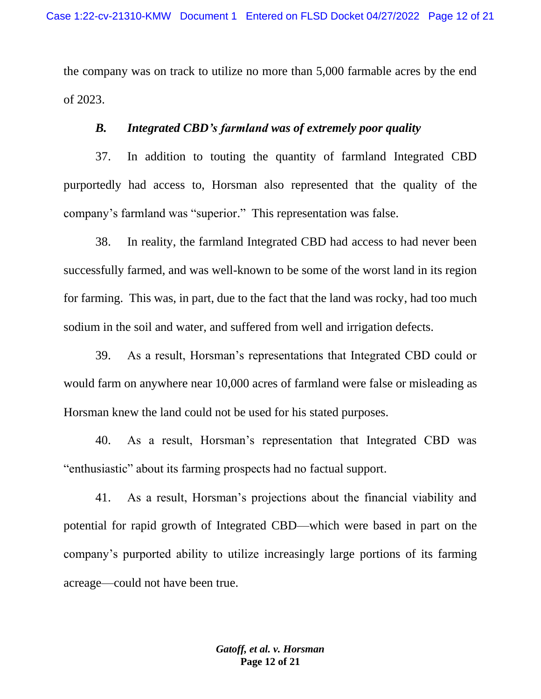the company was on track to utilize no more than 5,000 farmable acres by the end of 2023.

### *B. Integrated CBD's farmland was of extremely poor quality*

37. In addition to touting the quantity of farmland Integrated CBD purportedly had access to, Horsman also represented that the quality of the company's farmland was "superior." This representation was false.

38. In reality, the farmland Integrated CBD had access to had never been successfully farmed, and was well-known to be some of the worst land in its region for farming. This was, in part, due to the fact that the land was rocky, had too much sodium in the soil and water, and suffered from well and irrigation defects.

39. As a result, Horsman's representations that Integrated CBD could or would farm on anywhere near 10,000 acres of farmland were false or misleading as Horsman knew the land could not be used for his stated purposes.

40. As a result, Horsman's representation that Integrated CBD was "enthusiastic" about its farming prospects had no factual support.

41. As a result, Horsman's projections about the financial viability and potential for rapid growth of Integrated CBD—which were based in part on the company's purported ability to utilize increasingly large portions of its farming acreage—could not have been true.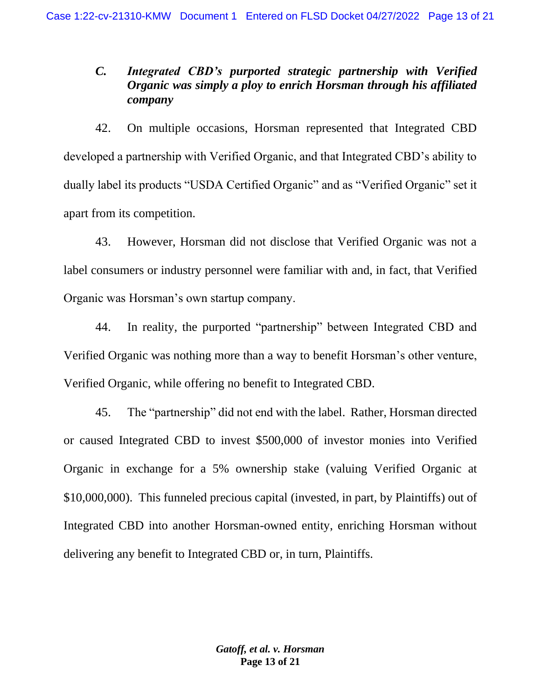# *C. Integrated CBD's purported strategic partnership with Verified Organic was simply a ploy to enrich Horsman through his affiliated company*

42. On multiple occasions, Horsman represented that Integrated CBD developed a partnership with Verified Organic, and that Integrated CBD's ability to dually label its products "USDA Certified Organic" and as "Verified Organic" set it apart from its competition.

43. However, Horsman did not disclose that Verified Organic was not a label consumers or industry personnel were familiar with and, in fact, that Verified Organic was Horsman's own startup company.

44. In reality, the purported "partnership" between Integrated CBD and Verified Organic was nothing more than a way to benefit Horsman's other venture, Verified Organic, while offering no benefit to Integrated CBD.

45. The "partnership" did not end with the label. Rather, Horsman directed or caused Integrated CBD to invest \$500,000 of investor monies into Verified Organic in exchange for a 5% ownership stake (valuing Verified Organic at \$10,000,000). This funneled precious capital (invested, in part, by Plaintiffs) out of Integrated CBD into another Horsman-owned entity, enriching Horsman without delivering any benefit to Integrated CBD or, in turn, Plaintiffs.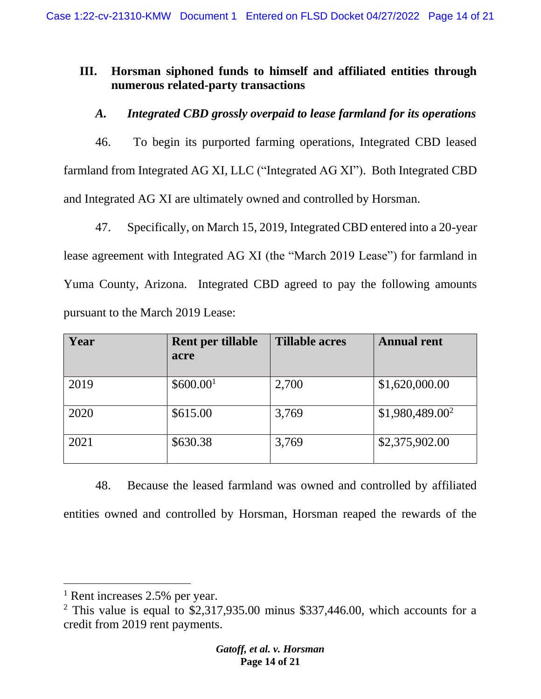# **III. Horsman siphoned funds to himself and affiliated entities through numerous related-party transactions**

*A. Integrated CBD grossly overpaid to lease farmland for its operations*

46. To begin its purported farming operations, Integrated CBD leased farmland from Integrated AG XI, LLC ("Integrated AG XI"). Both Integrated CBD and Integrated AG XI are ultimately owned and controlled by Horsman.

47. Specifically, on March 15, 2019, Integrated CBD entered into a 20-year lease agreement with Integrated AG XI (the "March 2019 Lease") for farmland in Yuma County, Arizona. Integrated CBD agreed to pay the following amounts pursuant to the March 2019 Lease:

| Year | Rent per tillable<br>acre | <b>Tillable acres</b> | <b>Annual rent</b>          |
|------|---------------------------|-----------------------|-----------------------------|
| 2019 | \$600.00 <sup>1</sup>     | 2,700                 | \$1,620,000.00              |
| 2020 | \$615.00                  | 3,769                 | \$1,980,489.00 <sup>2</sup> |
| 2021 | \$630.38                  | 3,769                 | \$2,375,902.00              |

48. Because the leased farmland was owned and controlled by affiliated entities owned and controlled by Horsman, Horsman reaped the rewards of the

<sup>&</sup>lt;sup>1</sup> Rent increases 2.5% per year.

 $2$  This value is equal to \$2,317,935.00 minus \$337,446.00, which accounts for a credit from 2019 rent payments.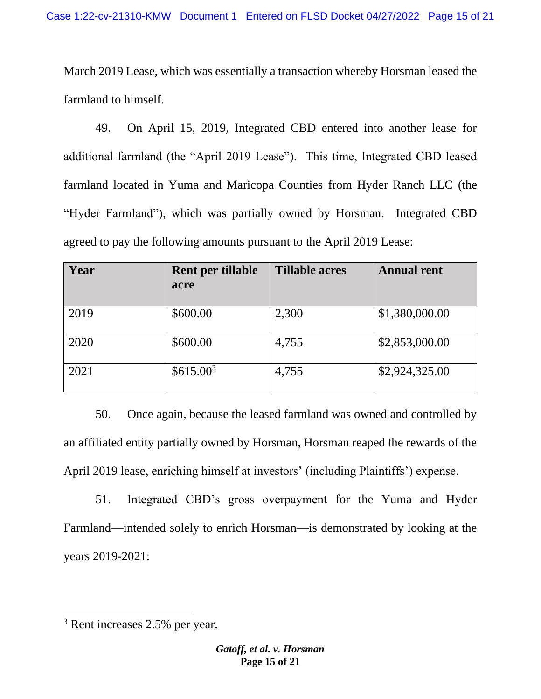March 2019 Lease, which was essentially a transaction whereby Horsman leased the farmland to himself.

49. On April 15, 2019, Integrated CBD entered into another lease for additional farmland (the "April 2019 Lease"). This time, Integrated CBD leased farmland located in Yuma and Maricopa Counties from Hyder Ranch LLC (the "Hyder Farmland"), which was partially owned by Horsman. Integrated CBD agreed to pay the following amounts pursuant to the April 2019 Lease:

| Year | Rent per tillable<br>acre | <b>Tillable acres</b> | <b>Annual rent</b> |
|------|---------------------------|-----------------------|--------------------|
| 2019 | \$600.00                  | 2,300                 | \$1,380,000.00     |
| 2020 | \$600.00                  | 4,755                 | \$2,853,000.00     |
| 2021 | \$615.00 <sup>3</sup>     | 4,755                 | \$2,924,325.00     |

50. Once again, because the leased farmland was owned and controlled by an affiliated entity partially owned by Horsman, Horsman reaped the rewards of the April 2019 lease, enriching himself at investors' (including Plaintiffs') expense.

51. Integrated CBD's gross overpayment for the Yuma and Hyder Farmland—intended solely to enrich Horsman—is demonstrated by looking at the years 2019-2021:

<sup>3</sup> Rent increases 2.5% per year.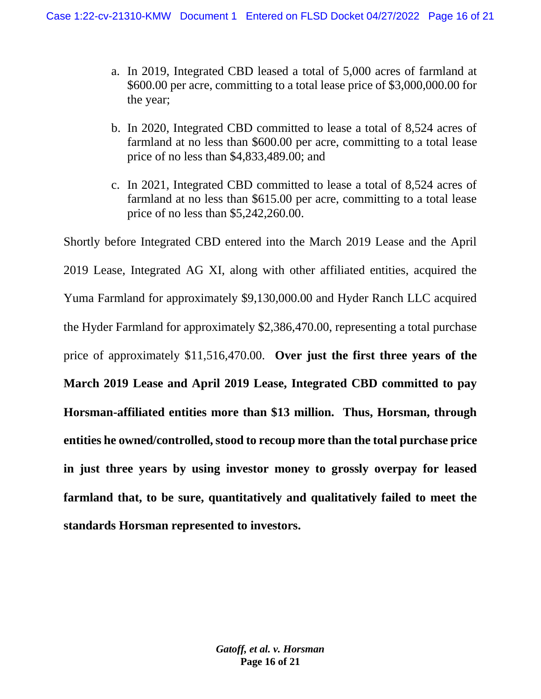- a. In 2019, Integrated CBD leased a total of 5,000 acres of farmland at \$600.00 per acre, committing to a total lease price of \$3,000,000.00 for the year;
- b. In 2020, Integrated CBD committed to lease a total of 8,524 acres of farmland at no less than \$600.00 per acre, committing to a total lease price of no less than \$4,833,489.00; and
- c. In 2021, Integrated CBD committed to lease a total of 8,524 acres of farmland at no less than \$615.00 per acre, committing to a total lease price of no less than \$5,242,260.00.

Shortly before Integrated CBD entered into the March 2019 Lease and the April 2019 Lease, Integrated AG XI, along with other affiliated entities, acquired the Yuma Farmland for approximately \$9,130,000.00 and Hyder Ranch LLC acquired the Hyder Farmland for approximately \$2,386,470.00, representing a total purchase price of approximately \$11,516,470.00. **Over just the first three years of the March 2019 Lease and April 2019 Lease, Integrated CBD committed to pay Horsman-affiliated entities more than \$13 million. Thus, Horsman, through entities he owned/controlled, stood to recoup more than the total purchase price in just three years by using investor money to grossly overpay for leased farmland that, to be sure, quantitatively and qualitatively failed to meet the standards Horsman represented to investors.**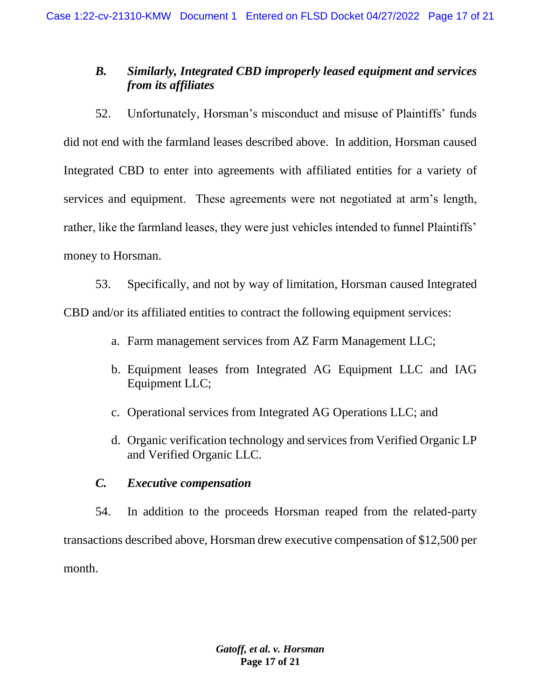# *B. Similarly, Integrated CBD improperly leased equipment and services from its affiliates*

52. Unfortunately, Horsman's misconduct and misuse of Plaintiffs' funds did not end with the farmland leases described above. In addition, Horsman caused Integrated CBD to enter into agreements with affiliated entities for a variety of services and equipment. These agreements were not negotiated at arm's length, rather, like the farmland leases, they were just vehicles intended to funnel Plaintiffs' money to Horsman.

53. Specifically, and not by way of limitation, Horsman caused Integrated CBD and/or its affiliated entities to contract the following equipment services:

- a. Farm management services from AZ Farm Management LLC;
- b. Equipment leases from Integrated AG Equipment LLC and IAG Equipment LLC;
- c. Operational services from Integrated AG Operations LLC; and
- d. Organic verification technology and services from Verified Organic LP and Verified Organic LLC.

## *C. Executive compensation*

54. In addition to the proceeds Horsman reaped from the related-party transactions described above, Horsman drew executive compensation of \$12,500 per month.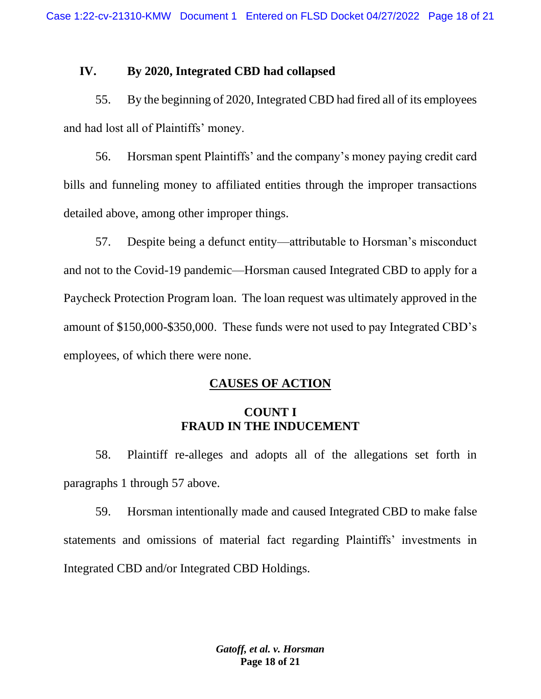### **IV. By 2020, Integrated CBD had collapsed**

55. By the beginning of 2020, Integrated CBD had fired all of its employees and had lost all of Plaintiffs' money.

56. Horsman spent Plaintiffs' and the company's money paying credit card bills and funneling money to affiliated entities through the improper transactions detailed above, among other improper things.

57. Despite being a defunct entity—attributable to Horsman's misconduct and not to the Covid-19 pandemic—Horsman caused Integrated CBD to apply for a Paycheck Protection Program loan. The loan request was ultimately approved in the amount of \$150,000-\$350,000. These funds were not used to pay Integrated CBD's employees, of which there were none.

## **CAUSES OF ACTION**

### **COUNT I FRAUD IN THE INDUCEMENT**

58. Plaintiff re-alleges and adopts all of the allegations set forth in paragraphs 1 through 57 above.

59. Horsman intentionally made and caused Integrated CBD to make false statements and omissions of material fact regarding Plaintiffs' investments in Integrated CBD and/or Integrated CBD Holdings.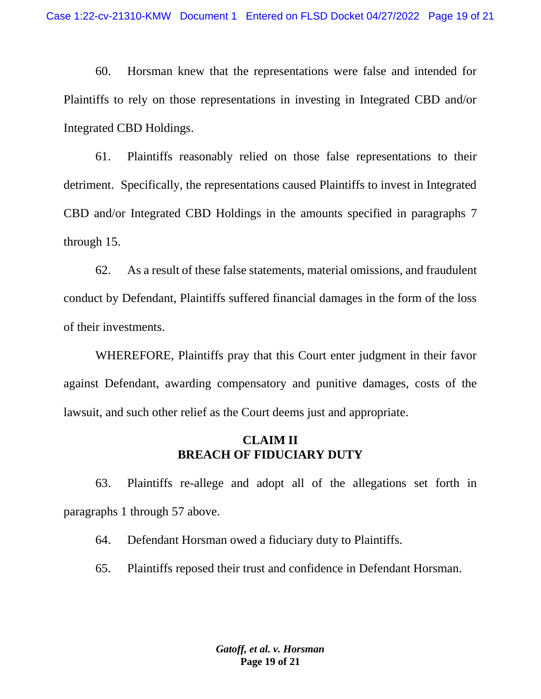60. Horsman knew that the representations were false and intended for Plaintiffs to rely on those representations in investing in Integrated CBD and/or Integrated CBD Holdings.

61. Plaintiffs reasonably relied on those false representations to their detriment. Specifically, the representations caused Plaintiffs to invest in Integrated CBD and/or Integrated CBD Holdings in the amounts specified in paragraphs 7 through 15.

62. As a result of these false statements, material omissions, and fraudulent conduct by Defendant, Plaintiffs suffered financial damages in the form of the loss of their investments.

WHEREFORE, Plaintiffs pray that this Court enter judgment in their favor against Defendant, awarding compensatory and punitive damages, costs of the lawsuit, and such other relief as the Court deems just and appropriate.

### **CLAIM II BREACH OF FIDUCIARY DUTY**

63. Plaintiffs re-allege and adopt all of the allegations set forth in paragraphs 1 through 57 above.

64. Defendant Horsman owed a fiduciary duty to Plaintiffs.

65. Plaintiffs reposed their trust and confidence in Defendant Horsman.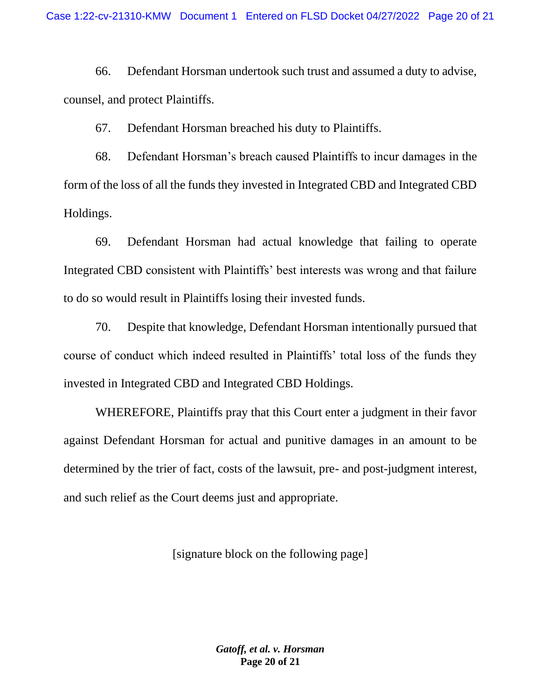66. Defendant Horsman undertook such trust and assumed a duty to advise, counsel, and protect Plaintiffs.

67. Defendant Horsman breached his duty to Plaintiffs.

68. Defendant Horsman's breach caused Plaintiffs to incur damages in the form of the loss of all the funds they invested in Integrated CBD and Integrated CBD Holdings.

69. Defendant Horsman had actual knowledge that failing to operate Integrated CBD consistent with Plaintiffs' best interests was wrong and that failure to do so would result in Plaintiffs losing their invested funds.

70. Despite that knowledge, Defendant Horsman intentionally pursued that course of conduct which indeed resulted in Plaintiffs' total loss of the funds they invested in Integrated CBD and Integrated CBD Holdings.

WHEREFORE, Plaintiffs pray that this Court enter a judgment in their favor against Defendant Horsman for actual and punitive damages in an amount to be determined by the trier of fact, costs of the lawsuit, pre- and post-judgment interest, and such relief as the Court deems just and appropriate.

[signature block on the following page]

*Gatoff, et al. v. Horsman* **Page 20 of 21**